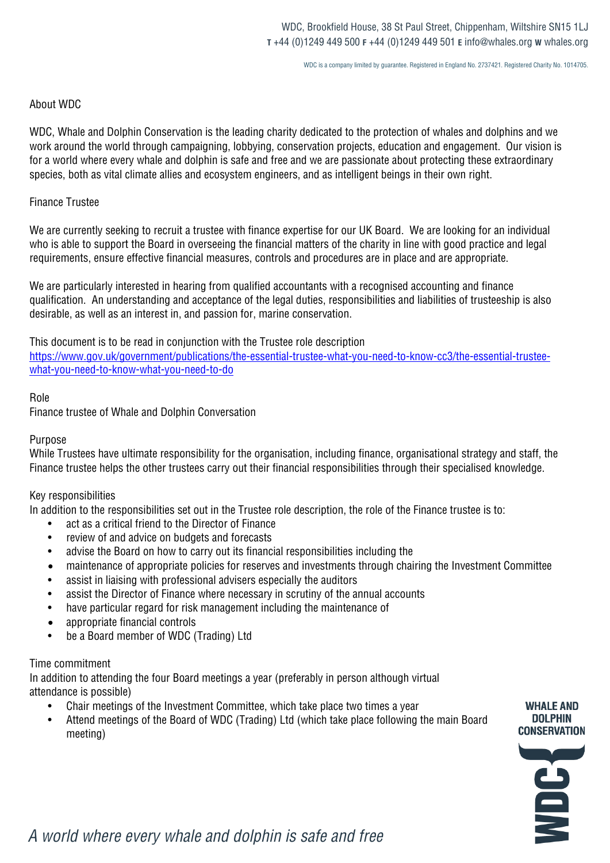WDC is a company limited by guarantee. Registered in England No. 2737421. Registered Charity No. 1014705.

## About WDC

WDC, Whale and Dolphin Conservation is the leading charity dedicated to the protection of whales and dolphins and we work around the world through campaigning, lobbying, conservation projects, education and engagement. Our vision is for a world where every whale and dolphin is safe and free and we are passionate about protecting these extraordinary species, both as vital climate allies and ecosystem engineers, and as intelligent beings in their own right.

### Finance Trustee

We are currently seeking to recruit a trustee with finance expertise for our UK Board. We are looking for an individual who is able to support the Board in overseeing the financial matters of the charity in line with good practice and legal requirements, ensure effective financial measures, controls and procedures are in place and are appropriate.

We are particularly interested in hearing from qualified accountants with a recognised accounting and finance qualification. An understanding and acceptance of the legal duties, responsibilities and liabilities of trusteeship is also desirable, as well as an interest in, and passion for, marine conservation.

This document is to be read in conjunction with the Trustee role description https://www.gov.uk/government/publications/the-essential-trustee-what-you-need-to-know-cc3/the-essential-trusteewhat-you-need-to-know-what-you-need-to-do

## Role

Finance trustee of Whale and Dolphin Conversation

## Purpose

While Trustees have ultimate responsibility for the organisation, including finance, organisational strategy and staff, the Finance trustee helps the other trustees carry out their financial responsibilities through their specialised knowledge.

## Key responsibilities

In addition to the responsibilities set out in the Trustee role description, the role of the Finance trustee is to:

- act as a critical friend to the Director of Finance
- review of and advice on budgets and forecasts
- advise the Board on how to carry out its financial responsibilities including the
- maintenance of appropriate policies for reserves and investments through chairing the Investment Committee
- assist in liaising with professional advisers especially the auditors
- assist the Director of Finance where necessary in scrutiny of the annual accounts
- have particular regard for risk management including the maintenance of
- appropriate financial controls
- be a Board member of WDC (Trading) Ltd

## Time commitment

In addition to attending the four Board meetings a year (preferably in person although virtual attendance is possible)

- Chair meetings of the Investment Committee, which take place two times a year
- Attend meetings of the Board of WDC (Trading) Ltd (which take place following the main Board meeting)



**WHALE AND** 

*A world where every whale and dolphin is safe and free*